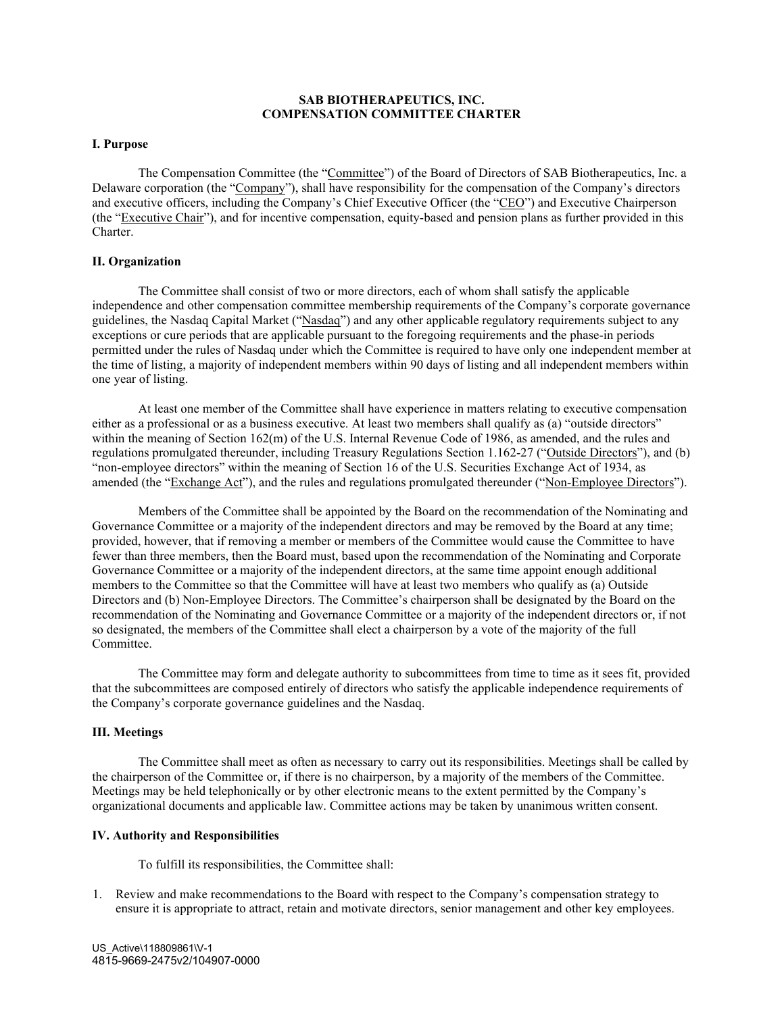# **SAB BIOTHERAPEUTICS, INC. COMPENSATION COMMITTEE CHARTER**

#### **I. Purpose**

The Compensation Committee (the "Committee") of the Board of Directors of SAB Biotherapeutics, Inc. a Delaware corporation (the "Company"), shall have responsibility for the compensation of the Company's directors and executive officers, including the Company's Chief Executive Officer (the "CEO") and Executive Chairperson (the "Executive Chair"), and for incentive compensation, equity-based and pension plans as further provided in this Charter.

#### **II. Organization**

The Committee shall consist of two or more directors, each of whom shall satisfy the applicable independence and other compensation committee membership requirements of the Company's corporate governance guidelines, the Nasdaq Capital Market ("Nasdaq") and any other applicable regulatory requirements subject to any exceptions or cure periods that are applicable pursuant to the foregoing requirements and the phase-in periods permitted under the rules of Nasdaq under which the Committee is required to have only one independent member at the time of listing, a majority of independent members within 90 days of listing and all independent members within one year of listing.

At least one member of the Committee shall have experience in matters relating to executive compensation either as a professional or as a business executive. At least two members shall qualify as (a) "outside directors" within the meaning of Section 162(m) of the U.S. Internal Revenue Code of 1986, as amended, and the rules and regulations promulgated thereunder, including Treasury Regulations Section 1.162-27 ("Outside Directors"), and (b) "non-employee directors" within the meaning of Section 16 of the U.S. Securities Exchange Act of 1934, as amended (the "Exchange Act"), and the rules and regulations promulgated thereunder ("Non-Employee Directors").

Members of the Committee shall be appointed by the Board on the recommendation of the Nominating and Governance Committee or a majority of the independent directors and may be removed by the Board at any time; provided, however, that if removing a member or members of the Committee would cause the Committee to have fewer than three members, then the Board must, based upon the recommendation of the Nominating and Corporate Governance Committee or a majority of the independent directors, at the same time appoint enough additional members to the Committee so that the Committee will have at least two members who qualify as (a) Outside Directors and (b) Non-Employee Directors. The Committee's chairperson shall be designated by the Board on the recommendation of the Nominating and Governance Committee or a majority of the independent directors or, if not so designated, the members of the Committee shall elect a chairperson by a vote of the majority of the full Committee.

The Committee may form and delegate authority to subcommittees from time to time as it sees fit, provided that the subcommittees are composed entirely of directors who satisfy the applicable independence requirements of the Company's corporate governance guidelines and the Nasdaq.

## **III. Meetings**

The Committee shall meet as often as necessary to carry out its responsibilities. Meetings shall be called by the chairperson of the Committee or, if there is no chairperson, by a majority of the members of the Committee. Meetings may be held telephonically or by other electronic means to the extent permitted by the Company's organizational documents and applicable law. Committee actions may be taken by unanimous written consent.

#### **IV. Authority and Responsibilities**

To fulfill its responsibilities, the Committee shall:

1. Review and make recommendations to the Board with respect to the Company's compensation strategy to ensure it is appropriate to attract, retain and motivate directors, senior management and other key employees.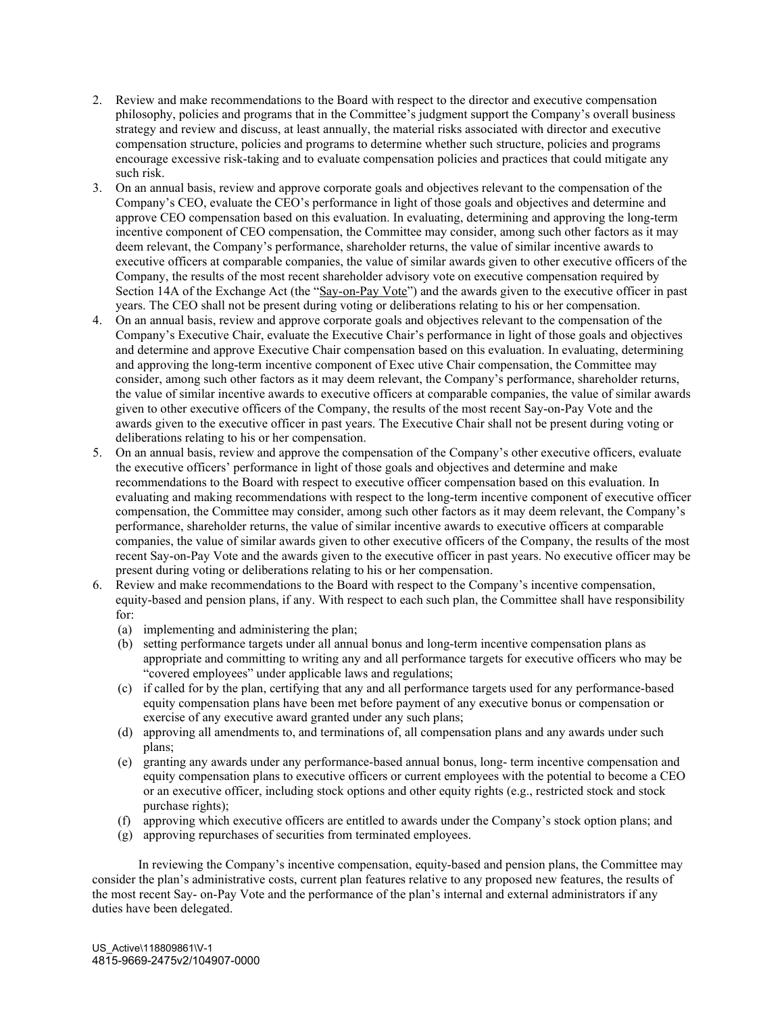- 2. Review and make recommendations to the Board with respect to the director and executive compensation philosophy, policies and programs that in the Committee's judgment support the Company's overall business strategy and review and discuss, at least annually, the material risks associated with director and executive compensation structure, policies and programs to determine whether such structure, policies and programs encourage excessive risk-taking and to evaluate compensation policies and practices that could mitigate any such risk.
- 3. On an annual basis, review and approve corporate goals and objectives relevant to the compensation of the Company's CEO, evaluate the CEO's performance in light of those goals and objectives and determine and approve CEO compensation based on this evaluation. In evaluating, determining and approving the long-term incentive component of CEO compensation, the Committee may consider, among such other factors as it may deem relevant, the Company's performance, shareholder returns, the value of similar incentive awards to executive officers at comparable companies, the value of similar awards given to other executive officers of the Company, the results of the most recent shareholder advisory vote on executive compensation required by Section 14A of the Exchange Act (the "Say-on-Pay Vote") and the awards given to the executive officer in past years. The CEO shall not be present during voting or deliberations relating to his or her compensation.
- 4. On an annual basis, review and approve corporate goals and objectives relevant to the compensation of the Company's Executive Chair, evaluate the Executive Chair's performance in light of those goals and objectives and determine and approve Executive Chair compensation based on this evaluation. In evaluating, determining and approving the long-term incentive component of Exec utive Chair compensation, the Committee may consider, among such other factors as it may deem relevant, the Company's performance, shareholder returns, the value of similar incentive awards to executive officers at comparable companies, the value of similar awards given to other executive officers of the Company, the results of the most recent Say-on-Pay Vote and the awards given to the executive officer in past years. The Executive Chair shall not be present during voting or deliberations relating to his or her compensation.
- 5. On an annual basis, review and approve the compensation of the Company's other executive officers, evaluate the executive officers' performance in light of those goals and objectives and determine and make recommendations to the Board with respect to executive officer compensation based on this evaluation. In evaluating and making recommendations with respect to the long-term incentive component of executive officer compensation, the Committee may consider, among such other factors as it may deem relevant, the Company's performance, shareholder returns, the value of similar incentive awards to executive officers at comparable companies, the value of similar awards given to other executive officers of the Company, the results of the most recent Say-on-Pay Vote and the awards given to the executive officer in past years. No executive officer may be present during voting or deliberations relating to his or her compensation.
- 6. Review and make recommendations to the Board with respect to the Company's incentive compensation, equity-based and pension plans, if any. With respect to each such plan, the Committee shall have responsibility for:
	- (a) implementing and administering the plan;
	- (b) setting performance targets under all annual bonus and long-term incentive compensation plans as appropriate and committing to writing any and all performance targets for executive officers who may be "covered employees" under applicable laws and regulations;
	- (c) if called for by the plan, certifying that any and all performance targets used for any performance-based equity compensation plans have been met before payment of any executive bonus or compensation or exercise of any executive award granted under any such plans;
	- (d) approving all amendments to, and terminations of, all compensation plans and any awards under such plans;
	- (e) granting any awards under any performance-based annual bonus, long- term incentive compensation and equity compensation plans to executive officers or current employees with the potential to become a CEO or an executive officer, including stock options and other equity rights (e.g., restricted stock and stock purchase rights);
	- (f) approving which executive officers are entitled to awards under the Company's stock option plans; and
	- (g) approving repurchases of securities from terminated employees.

In reviewing the Company's incentive compensation, equity-based and pension plans, the Committee may consider the plan's administrative costs, current plan features relative to any proposed new features, the results of the most recent Say- on-Pay Vote and the performance of the plan's internal and external administrators if any duties have been delegated.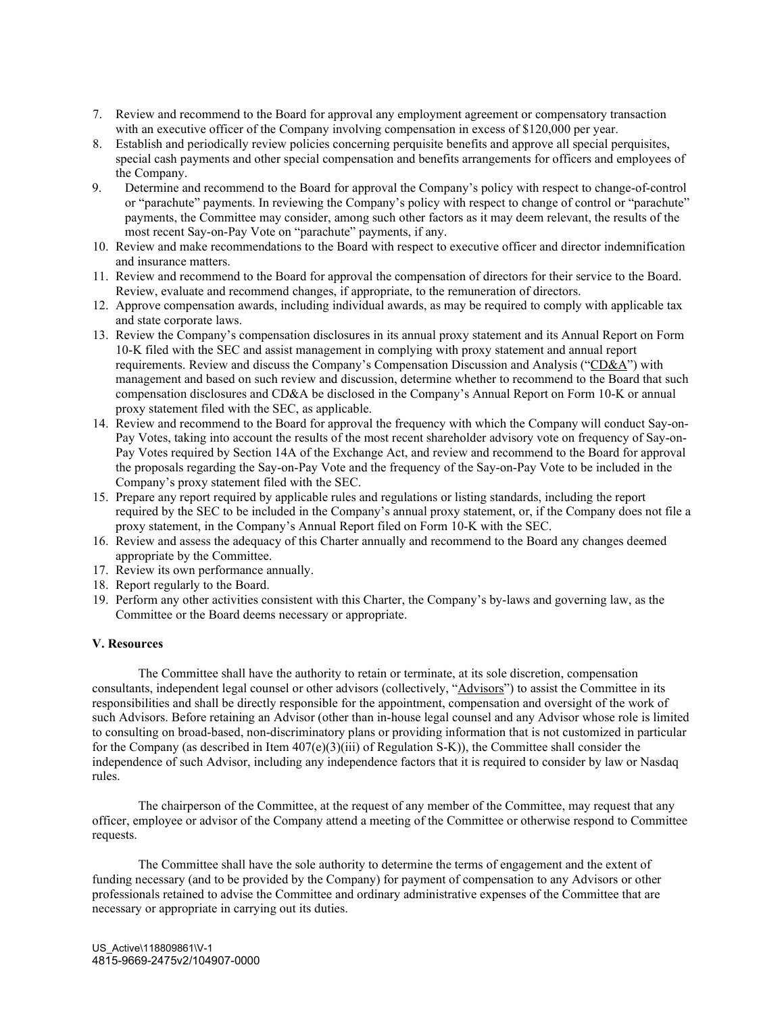- 7. Review and recommend to the Board for approval any employment agreement or compensatory transaction with an executive officer of the Company involving compensation in excess of \$120,000 per year.
- 8. Establish and periodically review policies concerning perquisite benefits and approve all special perquisites, special cash payments and other special compensation and benefits arrangements for officers and employees of the Company.
- 9. Determine and recommend to the Board for approval the Company's policy with respect to change-of-control or "parachute" payments. In reviewing the Company's policy with respect to change of control or "parachute" payments, the Committee may consider, among such other factors as it may deem relevant, the results of the most recent Say-on-Pay Vote on "parachute" payments, if any.
- 10. Review and make recommendations to the Board with respect to executive officer and director indemnification and insurance matters.
- 11. Review and recommend to the Board for approval the compensation of directors for their service to the Board. Review, evaluate and recommend changes, if appropriate, to the remuneration of directors.
- 12. Approve compensation awards, including individual awards, as may be required to comply with applicable tax and state corporate laws.
- 13. Review the Company's compensation disclosures in its annual proxy statement and its Annual Report on Form 10-K filed with the SEC and assist management in complying with proxy statement and annual report requirements. Review and discuss the Company's Compensation Discussion and Analysis ("CD&A") with management and based on such review and discussion, determine whether to recommend to the Board that such compensation disclosures and CD&A be disclosed in the Company's Annual Report on Form 10-K or annual proxy statement filed with the SEC, as applicable.
- 14. Review and recommend to the Board for approval the frequency with which the Company will conduct Say-on-Pay Votes, taking into account the results of the most recent shareholder advisory vote on frequency of Say-on-Pay Votes required by Section 14A of the Exchange Act, and review and recommend to the Board for approval the proposals regarding the Say-on-Pay Vote and the frequency of the Say-on-Pay Vote to be included in the Company's proxy statement filed with the SEC.
- 15. Prepare any report required by applicable rules and regulations or listing standards, including the report required by the SEC to be included in the Company's annual proxy statement, or, if the Company does not file a proxy statement, in the Company's Annual Report filed on Form 10-K with the SEC.
- 16. Review and assess the adequacy of this Charter annually and recommend to the Board any changes deemed appropriate by the Committee.
- 17. Review its own performance annually.
- 18. Report regularly to the Board.
- 19. Perform any other activities consistent with this Charter, the Company's by-laws and governing law, as the Committee or the Board deems necessary or appropriate.

## **V. Resources**

The Committee shall have the authority to retain or terminate, at its sole discretion, compensation consultants, independent legal counsel or other advisors (collectively, "Advisors") to assist the Committee in its responsibilities and shall be directly responsible for the appointment, compensation and oversight of the work of such Advisors. Before retaining an Advisor (other than in-house legal counsel and any Advisor whose role is limited to consulting on broad-based, non-discriminatory plans or providing information that is not customized in particular for the Company (as described in Item  $407(e)(3)(iii)$  of Regulation S-K)), the Committee shall consider the independence of such Advisor, including any independence factors that it is required to consider by law or Nasdaq rules.

The chairperson of the Committee, at the request of any member of the Committee, may request that any officer, employee or advisor of the Company attend a meeting of the Committee or otherwise respond to Committee requests.

The Committee shall have the sole authority to determine the terms of engagement and the extent of funding necessary (and to be provided by the Company) for payment of compensation to any Advisors or other professionals retained to advise the Committee and ordinary administrative expenses of the Committee that are necessary or appropriate in carrying out its duties.